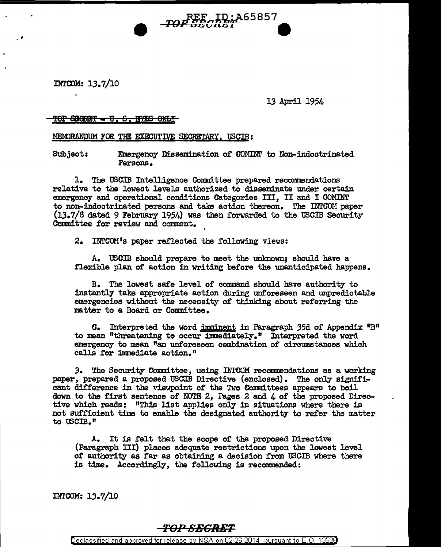INTCOM: 13.7/10

13 April 1954

## TOP SHORET - U. S. EYES ONLY

MEMORANDUM FOR THE EXECUTIVE SECRETARY, USCIB:

Subject: Emergency Dissemination of COMINT to Non-indoctrinated Persons.

 $\overrightarrow{TOP} \overrightarrow{SECRET} \overrightarrow{ID}$ ; $\overrightarrow{A}$ 65857

1. The USCIB Intelligence Committee prepared recommendations relative to the lowest levels authorized to disseminate under certain emergency and operational conditions Categories III, II and I COMINT to non-indoctrinated persons and take action thereon. The INTCOM paper (lJ.7/8 dated 9 February 1954) was then forwarded to the USCIB Sec'Urity Committee for review and comment.

2. INTCOM 1s paper reflected the following views:

A. USCIB should prepare to meet the unknown; should have a flexible plan of action in writing before the unanticipated happens.

B. The lowest safe level of command should have authority to instantly take appropriate action during unforeseen and unpredictable emergencies without the necessity of thinking about referring the matter to a Board or Committee.

**C.** Interpreted the word imminent in Paragraph 35d of Appendix  ${}^{1}B^{11}$ to mean "threatening to occur immediately." Interpreted the word emergency to mean "an unforeseen combination of circumstances which calls for immediate action."

*3.* The Security Committee, using INTCOM recommendations as a working paper, prepared a proposed USCIB Directive (enclosed). The only significant difference in the viewpoint of the Two Committees appears to boil down to the first sentence of NOTE 2, Pages 2 and 4 of the proposed Directive which reads: "This list applies only in situations where there is not sufficient time to enable the designated authority to refer the matter to USCIB."

A. It is felt that the scope of the proposed Directive (Paragraph III) places adequate restrictions upon the lowest level of authority as far as obtaining a decision from USCIB where there is time. Accordingly, the following is recommended:

INTCOM: 13.7/10

## *TO:PSECRET*

Declassified and approved for release by NSA on 02-26-2014 pursuant to E. 0. 1352B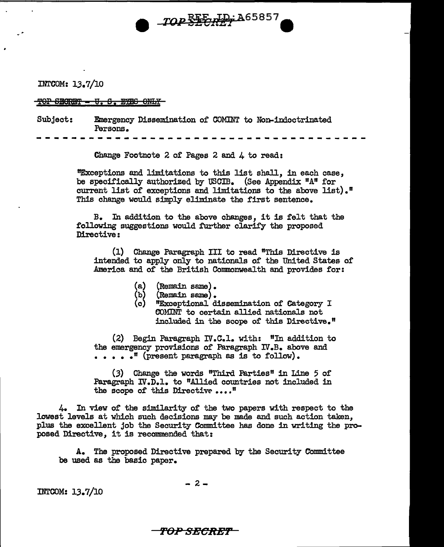

## "TOP SECRET - U. S. EYES ONLY

Subject: Emergency Dissemination of COMINT to Non-indoctrinated Persons.

--------------------------------------

Change Footnote 2 of Pages 2 and 4 to read:

"Exceptions and limitations to this list shall, in each case, be specifically authorized by USCIB. (See Appendix "A" for current list of exceptions and limitations to the above list).<sup> $"$ </sup> This change would simply eliminate the first sentence.

TOP SEE HD; A65857

B. In addition to the above changes, it is felt that the following suggestions would further clarify the proposed Directive:

(1) Change Paragraph III to read "This Directive is intended to apply only to nationals of the United States of America and of' the British Commonwealth and provides for:

- (Remain same).
- (Remain same).
- **"Exceptional dissemination of Category I** COMINT to certain allied nationals not included in the scope of this Directive."

 $(2)$  Begin Paragraph IV.C.1. with: "In addition to the emergency provisions of Paragraph IV.B. above and •••• •" (present paragraph as is to follow).

(3) Change the words "Third Parties" in Line 5 of Paragraph  $\mathbb{N}$ .  $\overline{\mathbb{D}}$ . to "Allied countries not included in the scope of this Directive ...."

4. In view of the similarity of the two papers with respect to the lowest levels at which such decisions may be made and such action taken, plus the excellent job the Security Committee has done in writing the proposed Directive, it is recommended that:

A. The proposed Directive prepared by the Security Committee be used as the basic paper.

INTCOM: 13.7/10

- 2-

''*POP SECRE*T